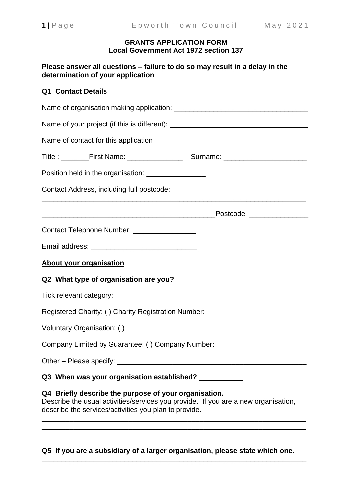#### **GRANTS APPLICATION FORM Local Government Act 1972 section 137**

**Please answer all questions – failure to do so may result in a delay in the determination of your application**

# **Q1 Contact Details**

| Name of your project (if this is different): ___________________________________                                                                                                                     |  |  |  |  |  |  |  |
|------------------------------------------------------------------------------------------------------------------------------------------------------------------------------------------------------|--|--|--|--|--|--|--|
| Name of contact for this application                                                                                                                                                                 |  |  |  |  |  |  |  |
|                                                                                                                                                                                                      |  |  |  |  |  |  |  |
| Position held in the organisation: __________________                                                                                                                                                |  |  |  |  |  |  |  |
| Contact Address, including full postcode:                                                                                                                                                            |  |  |  |  |  |  |  |
|                                                                                                                                                                                                      |  |  |  |  |  |  |  |
| Contact Telephone Number: __________________                                                                                                                                                         |  |  |  |  |  |  |  |
|                                                                                                                                                                                                      |  |  |  |  |  |  |  |
| <b>About your organisation</b>                                                                                                                                                                       |  |  |  |  |  |  |  |
| Q2 What type of organisation are you?                                                                                                                                                                |  |  |  |  |  |  |  |
| Tick relevant category:                                                                                                                                                                              |  |  |  |  |  |  |  |
| Registered Charity: () Charity Registration Number:                                                                                                                                                  |  |  |  |  |  |  |  |
| Voluntary Organisation: ()                                                                                                                                                                           |  |  |  |  |  |  |  |
| Company Limited by Guarantee: () Company Number:                                                                                                                                                     |  |  |  |  |  |  |  |
| Other - Please specify:                                                                                                                                                                              |  |  |  |  |  |  |  |
| Q3 When was your organisation established? __________                                                                                                                                                |  |  |  |  |  |  |  |
| Q4 Briefly describe the purpose of your organisation.<br>Describe the usual activities/services you provide. If you are a new organisation,<br>describe the services/activities you plan to provide. |  |  |  |  |  |  |  |

**Q5 If you are a subsidiary of a larger organisation, please state which one.**

\_\_\_\_\_\_\_\_\_\_\_\_\_\_\_\_\_\_\_\_\_\_\_\_\_\_\_\_\_\_\_\_\_\_\_\_\_\_\_\_\_\_\_\_\_\_\_\_\_\_\_\_\_\_\_\_\_\_\_\_\_\_\_\_\_\_\_

\_\_\_\_\_\_\_\_\_\_\_\_\_\_\_\_\_\_\_\_\_\_\_\_\_\_\_\_\_\_\_\_\_\_\_\_\_\_\_\_\_\_\_\_\_\_\_\_\_\_\_\_\_\_\_\_\_\_\_\_\_\_\_\_\_\_\_ \_\_\_\_\_\_\_\_\_\_\_\_\_\_\_\_\_\_\_\_\_\_\_\_\_\_\_\_\_\_\_\_\_\_\_\_\_\_\_\_\_\_\_\_\_\_\_\_\_\_\_\_\_\_\_\_\_\_\_\_\_\_\_\_\_\_\_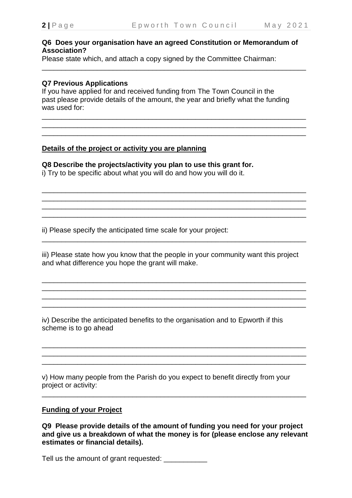### **Q6 Does your organisation have an agreed Constitution or Memorandum of Association?**

\_\_\_\_\_\_\_\_\_\_\_\_\_\_\_\_\_\_\_\_\_\_\_\_\_\_\_\_\_\_\_\_\_\_\_\_\_\_\_\_\_\_\_\_\_\_\_\_\_\_\_\_\_\_\_\_\_\_\_\_\_\_\_\_\_\_\_

\_\_\_\_\_\_\_\_\_\_\_\_\_\_\_\_\_\_\_\_\_\_\_\_\_\_\_\_\_\_\_\_\_\_\_\_\_\_\_\_\_\_\_\_\_\_\_\_\_\_\_\_\_\_\_\_\_\_\_\_\_\_\_\_\_\_\_ \_\_\_\_\_\_\_\_\_\_\_\_\_\_\_\_\_\_\_\_\_\_\_\_\_\_\_\_\_\_\_\_\_\_\_\_\_\_\_\_\_\_\_\_\_\_\_\_\_\_\_\_\_\_\_\_\_\_\_\_\_\_\_\_\_\_\_

\_\_\_\_\_\_\_\_\_\_\_\_\_\_\_\_\_\_\_\_\_\_\_\_\_\_\_\_\_\_\_\_\_\_\_\_\_\_\_\_\_\_\_\_\_\_\_\_\_\_\_\_\_\_\_\_\_\_\_\_\_\_\_\_\_\_\_ \_\_\_\_\_\_\_\_\_\_\_\_\_\_\_\_\_\_\_\_\_\_\_\_\_\_\_\_\_\_\_\_\_\_\_\_\_\_\_\_\_\_\_\_\_\_\_\_\_\_\_\_\_\_\_\_\_\_\_\_\_\_\_\_\_\_\_ \_\_\_\_\_\_\_\_\_\_\_\_\_\_\_\_\_\_\_\_\_\_\_\_\_\_\_\_\_\_\_\_\_\_\_\_\_\_\_\_\_\_\_\_\_\_\_\_\_\_\_\_\_\_\_\_\_\_\_\_\_\_\_\_\_\_\_

 $\overline{\phantom{a}}$  ,  $\overline{\phantom{a}}$  ,  $\overline{\phantom{a}}$  ,  $\overline{\phantom{a}}$  ,  $\overline{\phantom{a}}$  ,  $\overline{\phantom{a}}$  ,  $\overline{\phantom{a}}$  ,  $\overline{\phantom{a}}$  ,  $\overline{\phantom{a}}$  ,  $\overline{\phantom{a}}$  ,  $\overline{\phantom{a}}$  ,  $\overline{\phantom{a}}$  ,  $\overline{\phantom{a}}$  ,  $\overline{\phantom{a}}$  ,  $\overline{\phantom{a}}$  ,  $\overline{\phantom{a}}$ 

Please state which, and attach a copy signed by the Committee Chairman:

#### **Q7 Previous Applications**

If you have applied for and received funding from The Town Council in the past please provide details of the amount, the year and briefly what the funding was used for:

## **Details of the project or activity you are planning**

#### **Q8 Describe the projects/activity you plan to use this grant for.**

i) Try to be specific about what you will do and how you will do it.

ii) Please specify the anticipated time scale for your project:

iii) Please state how you know that the people in your community want this project and what difference you hope the grant will make.

\_\_\_\_\_\_\_\_\_\_\_\_\_\_\_\_\_\_\_\_\_\_\_\_\_\_\_\_\_\_\_\_\_\_\_\_\_\_\_\_\_\_\_\_\_\_\_\_\_\_\_\_\_\_\_\_\_\_\_\_\_\_\_\_\_\_\_ \_\_\_\_\_\_\_\_\_\_\_\_\_\_\_\_\_\_\_\_\_\_\_\_\_\_\_\_\_\_\_\_\_\_\_\_\_\_\_\_\_\_\_\_\_\_\_\_\_\_\_\_\_\_\_\_\_\_\_\_\_\_\_\_\_\_\_ \_\_\_\_\_\_\_\_\_\_\_\_\_\_\_\_\_\_\_\_\_\_\_\_\_\_\_\_\_\_\_\_\_\_\_\_\_\_\_\_\_\_\_\_\_\_\_\_\_\_\_\_\_\_\_\_\_\_\_\_\_\_\_\_\_\_\_ \_\_\_\_\_\_\_\_\_\_\_\_\_\_\_\_\_\_\_\_\_\_\_\_\_\_\_\_\_\_\_\_\_\_\_\_\_\_\_\_\_\_\_\_\_\_\_\_\_\_\_\_\_\_\_\_\_\_\_\_\_\_\_\_\_\_\_

\_\_\_\_\_\_\_\_\_\_\_\_\_\_\_\_\_\_\_\_\_\_\_\_\_\_\_\_\_\_\_\_\_\_\_\_\_\_\_\_\_\_\_\_\_\_\_\_\_\_\_\_\_\_\_\_\_\_\_\_\_\_\_\_\_\_\_ \_\_\_\_\_\_\_\_\_\_\_\_\_\_\_\_\_\_\_\_\_\_\_\_\_\_\_\_\_\_\_\_\_\_\_\_\_\_\_\_\_\_\_\_\_\_\_\_\_\_\_\_\_\_\_\_\_\_\_\_\_\_\_\_\_\_\_ \_\_\_\_\_\_\_\_\_\_\_\_\_\_\_\_\_\_\_\_\_\_\_\_\_\_\_\_\_\_\_\_\_\_\_\_\_\_\_\_\_\_\_\_\_\_\_\_\_\_\_\_\_\_\_\_\_\_\_\_\_\_\_\_\_\_\_

\_\_\_\_\_\_\_\_\_\_\_\_\_\_\_\_\_\_\_\_\_\_\_\_\_\_\_\_\_\_\_\_\_\_\_\_\_\_\_\_\_\_\_\_\_\_\_\_\_\_\_\_\_\_\_\_\_\_\_\_\_\_\_\_\_\_\_

iv) Describe the anticipated benefits to the organisation and to Epworth if this scheme is to go ahead

v) How many people from the Parish do you expect to benefit directly from your project or activity:

\_\_\_\_\_\_\_\_\_\_\_\_\_\_\_\_\_\_\_\_\_\_\_\_\_\_\_\_\_\_\_\_\_\_\_\_\_\_\_\_\_\_\_\_\_\_\_\_\_\_\_\_\_\_\_\_\_\_\_\_\_\_\_\_\_\_\_

## **Funding of your Project**

**Q9 Please provide details of the amount of funding you need for your project and give us a breakdown of what the money is for (please enclose any relevant estimates or financial details).**

Tell us the amount of grant requested: \_\_\_\_\_\_\_\_\_\_\_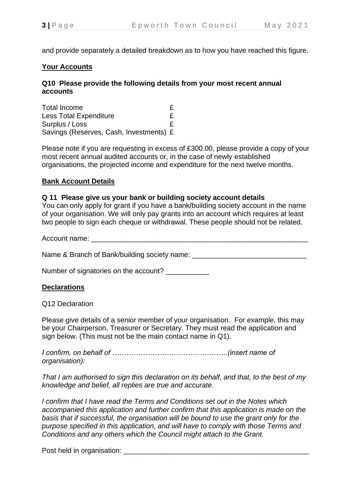and provide separately a detailed breakdown as to how you have reached this figure.

# **Your Accounts**

## **Q10 Please provide the following details from your most recent annual accounts**

Total Income Less Total Expenditure **E** Surplus / Loss **E** Savings (Reserves, Cash, Investments) £

Please note if you are requesting in excess of £300.00, please provide a copy of your most recent annual audited accounts or, in the case of newly established organisations, the projected income and expenditure for the next twelve months.

## **Bank Account Details**

#### **Q 11 Please give us your bank or building society account details**

You can only apply for grant if you have a bank/building society account in the name of your organisation. We will only pay grants into an account which requires at least two people to sign each cheque or withdrawal. These people should not be related.

Account name:

Name & Branch of Bank/building society name: \_\_\_\_\_\_\_\_\_\_\_\_\_\_\_\_\_\_\_\_\_\_\_\_\_\_\_\_\_\_\_\_\_\_\_

Number of signatories on the account? \_\_\_\_\_\_\_\_\_\_

## **Declarations**

Q12 Declaration

Please give details of a senior member of your organisation. For example, this may be your Chairperson, Treasurer or Secretary. They must read the application and sign below. (This must not be the main contact name in Q1).

*I confirm, on behalf of ………………………………………….(insert name of organisation):*

*That I am authorised to sign this declaration on its behalf, and that, to the best of my knowledge and belief, all replies are true and accurate.*

*I confirm that I have read the Terms and Conditions set out in the Notes which accompanied this application and further confirm that this application is made on the basis that if successful, the organisation will be bound to use the grant only for the purpose specified in this application, and will have to comply with those Terms and Conditions and any others which the Council might attach to the Grant.*

Post held in organisation: